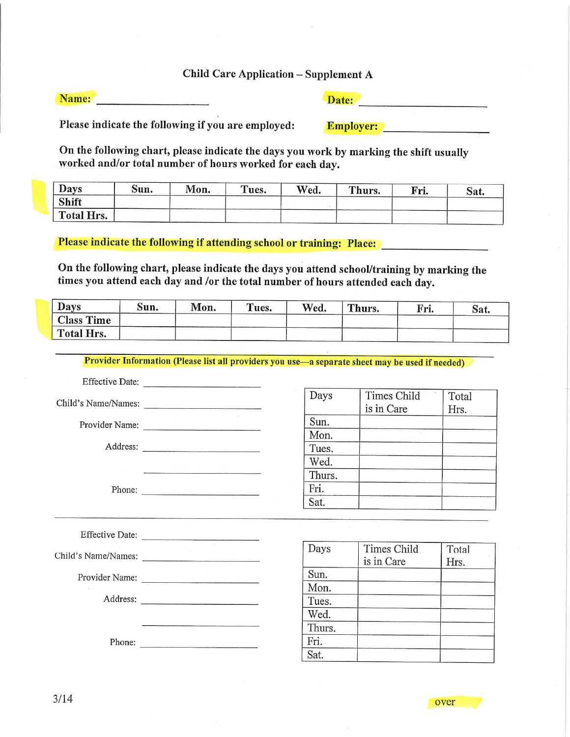## Child Care Application - Supplement A

Name:

Date:

Please indicate the following if you are employed: Employer:

On the following chart, please indicate the days you work by marking the shift usually worked and/or total number of hours worked for each day.

| Days       | Sun. | Mon. | Tues. | Wed. | Thurs. | Fri. | Sat. |
|------------|------|------|-------|------|--------|------|------|
| Shift      |      |      |       |      |        |      |      |
| Total Hrs. |      |      |       |      |        |      |      |

Please indicate the following if attending school or training: Place:

On the following chart, please indicate the days you attend school/training by marking the times you attend each day and /or the total number of hours attended each day.

| <b>Days</b>       | Sun. | Mon. | Tues. | Wed. | Thurs. | Fri. | Sat. |
|-------------------|------|------|-------|------|--------|------|------|
| <b>Class Time</b> |      |      |       |      |        |      |      |
| Total Hrs.        |      |      |       |      |        |      |      |

Provider Information (Please list all providers you use—a separate sheet may be used if needed)

Effective Date:

Child's Name/Names:

Provider Name;

Address:

Phone:

| Days   | Times Child | Total |
|--------|-------------|-------|
|        | is in Care  | Hrs.  |
| Sun.   |             |       |
| Mon.   |             |       |
| Tues.  |             |       |
| Wed.   |             |       |
| Thurs. |             |       |
| Fri.   |             |       |
| Sat.   |             |       |

| <b>Effective Date:</b> |        |                           |               |
|------------------------|--------|---------------------------|---------------|
| Child's Name/Names:    | Days   | Times Child<br>is in Care | Total<br>Hrs. |
| Provider Name:         | Sun.   |                           |               |
| GC.                    | Mon.   |                           |               |
| Address:               | Tues.  |                           |               |
|                        | Wed.   |                           |               |
|                        | Thurs. |                           |               |
| Phone:                 | Fri.   |                           |               |
|                        | Sat.   |                           |               |